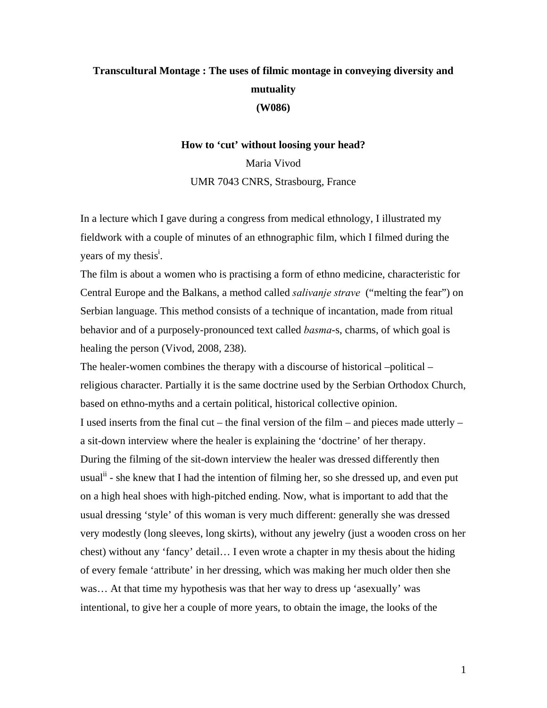## **Transcultural Montage : The uses of filmic montage in conveying diversity and mutuality (W086)**

**How to 'cut' without loosing your head?** 

Maria Vivod UMR 7043 CNRS, Strasbourg, France

In a lecture which I gave during a congress from medical ethnology, I illustrated my fieldwork with a couple of minutes of an ethnographic film, which I filmed during the years of my thesis<sup>i</sup>.

The film is about a women who is practising a form of ethno medicine, characteristic for Central Europe and the Balkans, a method called *salivanje strave* ("melting the fear") on Serbian language. This method consists of a technique of incantation, made from ritual behavior and of a purposely-pronounced text called *basma*-s, charms, of which goal is healing the person (Vivod, 2008, 238).

The healer-women combines the therapy with a discourse of historical –political – religious character. Partially it is the same doctrine used by the Serbian Orthodox Church, based on ethno-myths and a certain political, historical collective opinion. I used inserts from the final cut – the final version of the film – and pieces made utterly – a sit-down interview where the healer is explaining the 'doctrine' of her therapy. During the filming of the sit-down interview the healer was dressed differently then usual<sup>ii</sup> - she knew that I had the intention of filming her, so she dressed up, and even put on a high heal shoes with high-pitched ending. Now, what is important to add that the usual dressing 'style' of this woman is very much different: generally she was dressed very modestly (long sleeves, long skirts), without any jewelry (just a wooden cross on her chest) without any 'fancy' detail… I even wrote a chapter in my thesis about the hiding of every female 'attribute' in her dressing, which was making her much older then she was… At that time my hypothesis was that her way to dress up 'asexually' was intentional, to give her a couple of more years, to obtain the image, the looks of the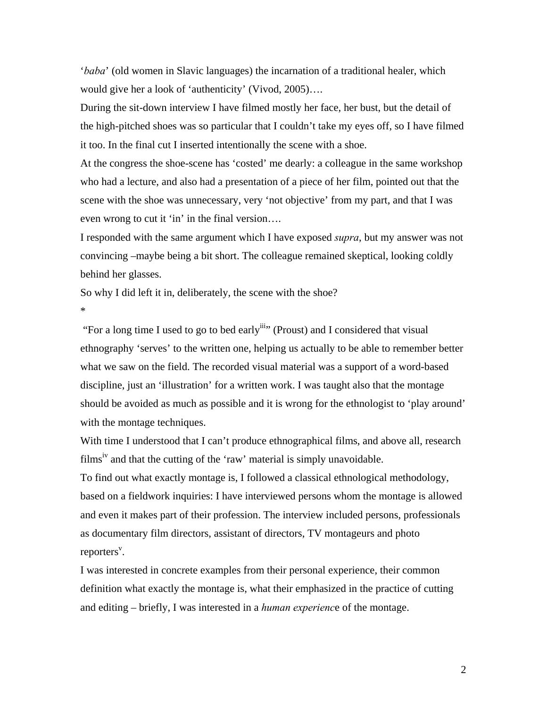'*baba*' (old women in Slavic languages) the incarnation of a traditional healer, which would give her a look of 'authenticity' (Vivod, 2005)….

During the sit-down interview I have filmed mostly her face, her bust, but the detail of the high-pitched shoes was so particular that I couldn't take my eyes off, so I have filmed it too. In the final cut I inserted intentionally the scene with a shoe.

At the congress the shoe-scene has 'costed' me dearly: a colleague in the same workshop who had a lecture, and also had a presentation of a piece of her film, pointed out that the scene with the shoe was unnecessary, very 'not objective' from my part, and that I was even wrong to cut it 'in' in the final version….

I responded with the same argument which I have exposed *supra*, but my answer was not convincing –maybe being a bit short. The colleague remained skeptical, looking coldly behind her glasses.

So why I did left it in, deliberately, the scene with the shoe?

\*

"For a long time I used to go to bed early<sup>iii</sup>" (Proust) and I considered that visual ethnography 'serves' to the written one, helping us actually to be able to remember better what we saw on the field. The recorded visual material was a support of a word-based discipline, just an 'illustration' for a written work. I was taught also that the montage should be avoided as much as possible and it is wrong for the ethnologist to 'play around' with the montage techniques.

With time I understood that I can't produce ethnographical films, and above all, research films<sup>iv</sup> and that the cutting of the 'raw' material is simply unavoidable.

To find out what exactly montage is, I followed a classical ethnological methodology, based on a fieldwork inquiries: I have interviewed persons whom the montage is allowed and even it makes part of their profession. The interview included persons, professionals as documentary film directors, assistant of directors, TV montageurs and photo reporters<sup>v</sup>.

I was interested in concrete examples from their personal experience, their common definition what exactly the montage is, what their emphasized in the practice of cutting and editing – briefly, I was interested in a *human experienc*e of the montage.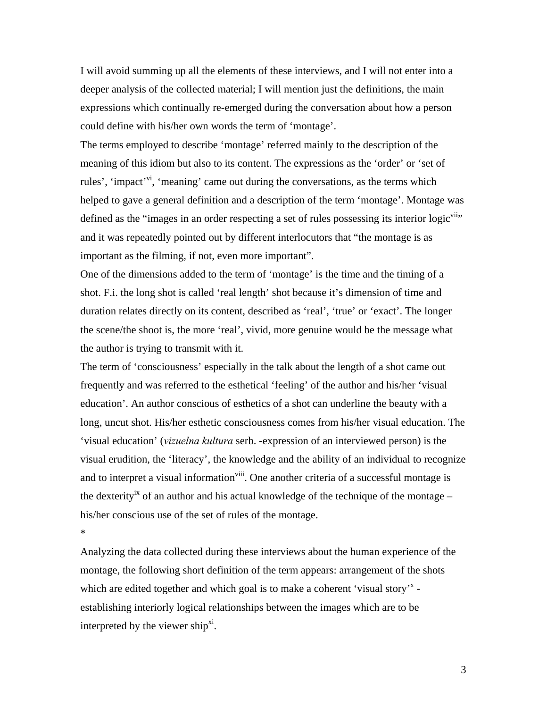I will avoid summing up all the elements of these interviews, and I will not enter into a deeper analysis of the collected material; I will mention just the definitions, the main expressions which continually re-emerged during the conversation about how a person could define with his/her own words the term of 'montage'.

The terms employed to describe 'montage' referred mainly to the description of the meaning of this idiom but also to its content. The expressions as the 'order' or 'set of rules', 'impact'<sup>vi</sup>, 'meaning' came out during the conversations, as the terms which helped to gave a general definition and a description of the term 'montage'. Montage was defined as the "images in an order respecting a set of rules possessing its interior  $logic<sup>viiv</sup>$ " and it was repeatedly pointed out by different interlocutors that "the montage is as important as the filming, if not, even more important".

One of the dimensions added to the term of 'montage' is the time and the timing of a shot. F.i. the long shot is called 'real length' shot because it's dimension of time and duration relates directly on its content, described as 'real', 'true' or 'exact'. The longer the scene/the shoot is, the more 'real', vivid, more genuine would be the message what the author is trying to transmit with it.

The term of 'consciousness' especially in the talk about the length of a shot came out frequently and was referred to the esthetical 'feeling' of the author and his/her 'visual education'. An author conscious of esthetics of a shot can underline the beauty with a long, uncut shot. His/her esthetic consciousness comes from his/her visual education. The 'visual education' (*vizuelna kultura* serb. -expression of an interviewed person) is the visual erudition, the 'literacy', the knowledge and the ability of an individual to recognize and to interpret a visual information<sup>viii</sup>. One another criteria of a successful montage is the dexterity<sup>ix</sup> of an author and his actual knowledge of the technique of the montage – his/her conscious use of the set of rules of the montage.

\*

Analyzing the data collected during these interviews about the human experience of the montage, the following short definition of the term appears: arrangement of the shots which are edited together and which goal is to make a coherent 'visual story'<sup>x</sup> establishing interiorly logical relationships between the images which are to be interpreted by the viewer ship $^{xi}$ .

3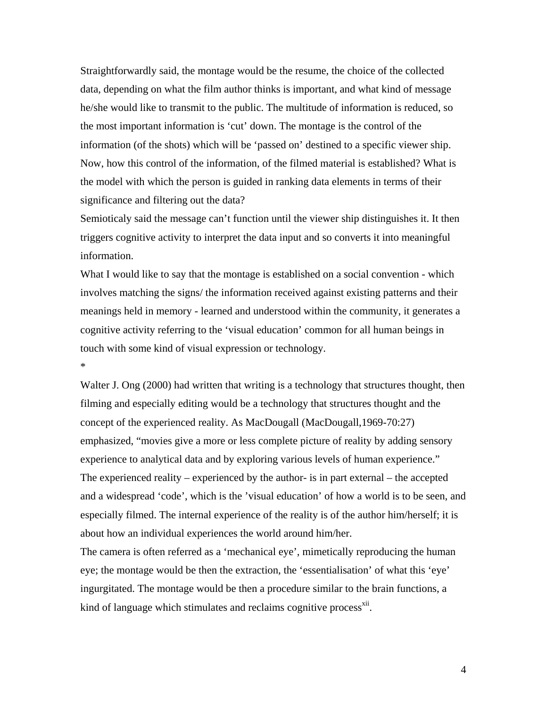Straightforwardly said, the montage would be the resume, the choice of the collected data, depending on what the film author thinks is important, and what kind of message he/she would like to transmit to the public. The multitude of information is reduced, so the most important information is 'cut' down. The montage is the control of the information (of the shots) which will be 'passed on' destined to a specific viewer ship. Now, how this control of the information, of the filmed material is established? What is the model with which the person is guided in ranking data elements in terms of their significance and filtering out the data?

Semioticaly said the message can't function until the viewer ship distinguishes it. It then triggers cognitive activity to interpret the data input and so converts it into meaningful information.

What I would like to say that the montage is established on a social convention - which involves matching the signs/ the information received against existing patterns and their meanings held in memory - learned and understood within the community, it generates a cognitive activity referring to the 'visual education' common for all human beings in touch with some kind of visual expression or technology.

\*

Walter J. Ong (2000) had written that writing is a technology that structures thought, then filming and especially editing would be a technology that structures thought and the concept of the experienced reality. As MacDougall (MacDougall,1969-70:27) emphasized, "movies give a more or less complete picture of reality by adding sensory experience to analytical data and by exploring various levels of human experience." The experienced reality – experienced by the author- is in part external – the accepted and a widespread 'code', which is the 'visual education' of how a world is to be seen, and especially filmed. The internal experience of the reality is of the author him/herself; it is about how an individual experiences the world around him/her.

The camera is often referred as a 'mechanical eye', mimetically reproducing the human eye; the montage would be then the extraction, the 'essentialisation' of what this 'eye' ingurgitated. The montage would be then a procedure similar to the brain functions, a kind of language which stimulates and reclaims cognitive process<sup>xii</sup>.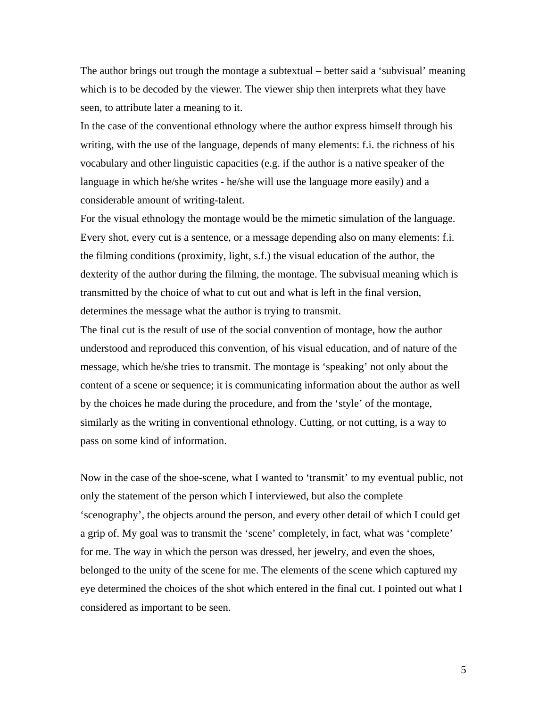The author brings out trough the montage a subtextual – better said a 'subvisual' meaning which is to be decoded by the viewer. The viewer ship then interprets what they have seen, to attribute later a meaning to it.

In the case of the conventional ethnology where the author express himself through his writing, with the use of the language, depends of many elements: f.i. the richness of his vocabulary and other linguistic capacities (e.g. if the author is a native speaker of the language in which he/she writes - he/she will use the language more easily) and a considerable amount of writing-talent.

For the visual ethnology the montage would be the mimetic simulation of the language. Every shot, every cut is a sentence, or a message depending also on many elements: f.i. the filming conditions (proximity, light, s.f.) the visual education of the author, the dexterity of the author during the filming, the montage. The subvisual meaning which is transmitted by the choice of what to cut out and what is left in the final version, determines the message what the author is trying to transmit.

The final cut is the result of use of the social convention of montage, how the author understood and reproduced this convention, of his visual education, and of nature of the message, which he/she tries to transmit. The montage is 'speaking' not only about the content of a scene or sequence; it is communicating information about the author as well by the choices he made during the procedure, and from the 'style' of the montage, similarly as the writing in conventional ethnology. Cutting, or not cutting, is a way to pass on some kind of information.

Now in the case of the shoe-scene, what I wanted to 'transmit' to my eventual public, not only the statement of the person which I interviewed, but also the complete 'scenography', the objects around the person, and every other detail of which I could get a grip of. My goal was to transmit the 'scene' completely, in fact, what was 'complete' for me. The way in which the person was dressed, her jewelry, and even the shoes, belonged to the unity of the scene for me. The elements of the scene which captured my eye determined the choices of the shot which entered in the final cut. I pointed out what I considered as important to be seen.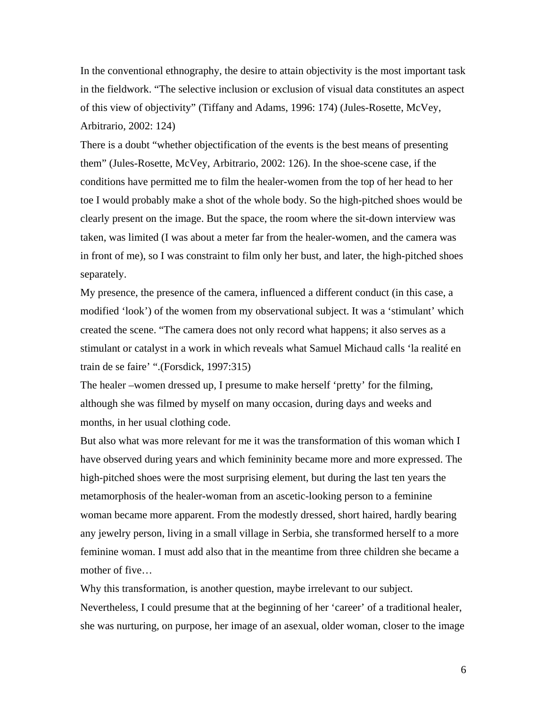In the conventional ethnography, the desire to attain objectivity is the most important task in the fieldwork. "The selective inclusion or exclusion of visual data constitutes an aspect of this view of objectivity" (Tiffany and Adams, 1996: 174) (Jules-Rosette, McVey, Arbitrario, 2002: 124)

There is a doubt "whether objectification of the events is the best means of presenting them" (Jules-Rosette, McVey, Arbitrario, 2002: 126). In the shoe-scene case, if the conditions have permitted me to film the healer-women from the top of her head to her toe I would probably make a shot of the whole body. So the high-pitched shoes would be clearly present on the image. But the space, the room where the sit-down interview was taken, was limited (I was about a meter far from the healer-women, and the camera was in front of me), so I was constraint to film only her bust, and later, the high-pitched shoes separately.

My presence, the presence of the camera, influenced a different conduct (in this case, a modified 'look') of the women from my observational subject. It was a 'stimulant' which created the scene. "The camera does not only record what happens; it also serves as a stimulant or catalyst in a work in which reveals what Samuel Michaud calls 'la realité en train de se faire' ".(Forsdick, 1997:315)

The healer –women dressed up, I presume to make herself 'pretty' for the filming, although she was filmed by myself on many occasion, during days and weeks and months, in her usual clothing code.

But also what was more relevant for me it was the transformation of this woman which I have observed during years and which femininity became more and more expressed. The high-pitched shoes were the most surprising element, but during the last ten years the metamorphosis of the healer-woman from an ascetic-looking person to a feminine woman became more apparent. From the modestly dressed, short haired, hardly bearing any jewelry person, living in a small village in Serbia, she transformed herself to a more feminine woman. I must add also that in the meantime from three children she became a mother of five…

Why this transformation, is another question, maybe irrelevant to our subject. Nevertheless, I could presume that at the beginning of her 'career' of a traditional healer, she was nurturing, on purpose, her image of an asexual, older woman, closer to the image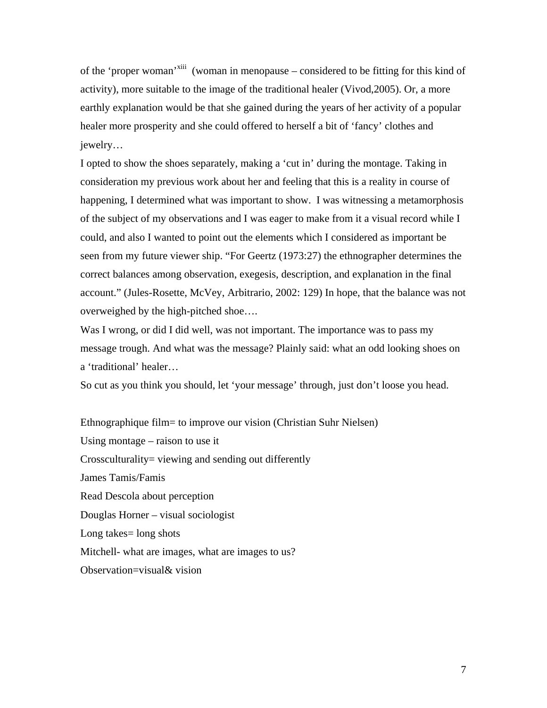of the 'proper woman'xiii (woman in menopause – considered to be fitting for this kind of activity), more suitable to the image of the traditional healer (Vivod,2005). Or, a more earthly explanation would be that she gained during the years of her activity of a popular healer more prosperity and she could offered to herself a bit of 'fancy' clothes and jewelry…

I opted to show the shoes separately, making a 'cut in' during the montage. Taking in consideration my previous work about her and feeling that this is a reality in course of happening, I determined what was important to show. I was witnessing a metamorphosis of the subject of my observations and I was eager to make from it a visual record while I could, and also I wanted to point out the elements which I considered as important be seen from my future viewer ship. "For Geertz (1973:27) the ethnographer determines the correct balances among observation, exegesis, description, and explanation in the final account." (Jules-Rosette, McVey, Arbitrario, 2002: 129) In hope, that the balance was not overweighed by the high-pitched shoe….

Was I wrong, or did I did well, was not important. The importance was to pass my message trough. And what was the message? Plainly said: what an odd looking shoes on a 'traditional' healer…

So cut as you think you should, let 'your message' through, just don't loose you head.

Ethnographique film= to improve our vision (Christian Suhr Nielsen) Using montage – raison to use it Crossculturality= viewing and sending out differently James Tamis/Famis Read Descola about perception Douglas Horner – visual sociologist Long takes= long shots Mitchell- what are images, what are images to us? Observation=visual& vision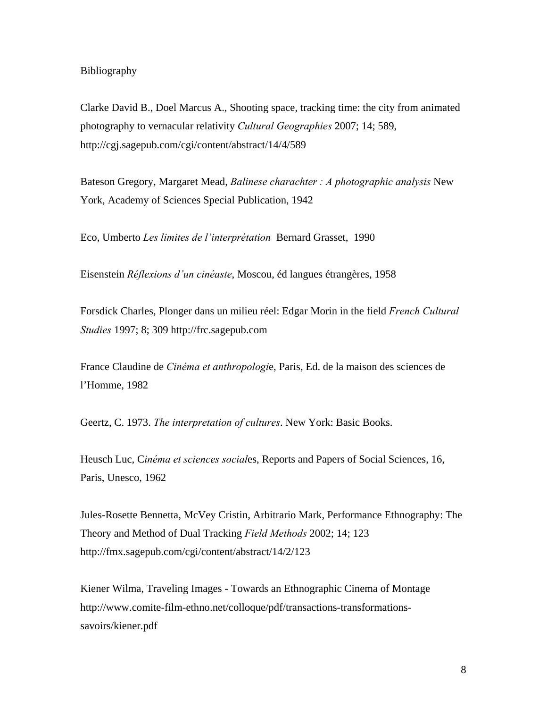## Bibliography

Clarke David B., Doel Marcus A., Shooting space, tracking time: the city from animated photography to vernacular relativity *Cultural Geographies* 2007; 14; 589, http://cgj.sagepub.com/cgi/content/abstract/14/4/589

Bateson Gregory, Margaret Mead, *Balinese charachter : A photographic analysis* New York, Academy of Sciences Special Publication, 1942

Eco, Umberto *Les limites de l'interprétation* Bernard Grasset, 1990

Eisenstein *Réflexions d'un cinéaste*, Moscou, éd langues étrangères, 1958

Forsdick Charles, Plonger dans un milieu réel: Edgar Morin in the field *French Cultural Studies* 1997; 8; 309 http://frc.sagepub.com

France Claudine de *Cinéma et anthropologi*e, Paris, Ed. de la maison des sciences de l'Homme, 1982

Geertz, C. 1973. *The interpretation of cultures*. New York: Basic Books.

Heusch Luc, C*inéma et sciences social*es, Reports and Papers of Social Sciences, 16, Paris, Unesco, 1962

Jules-Rosette Bennetta, McVey Cristin, Arbitrario Mark, Performance Ethnography: The Theory and Method of Dual Tracking *Field Methods* 2002; 14; 123 http://fmx.sagepub.com/cgi/content/abstract/14/2/123

Kiener Wilma, Traveling Images - Towards an Ethnographic Cinema of Montage http://www.comite-film-ethno.net/colloque/pdf/transactions-transformationssavoirs/kiener.pdf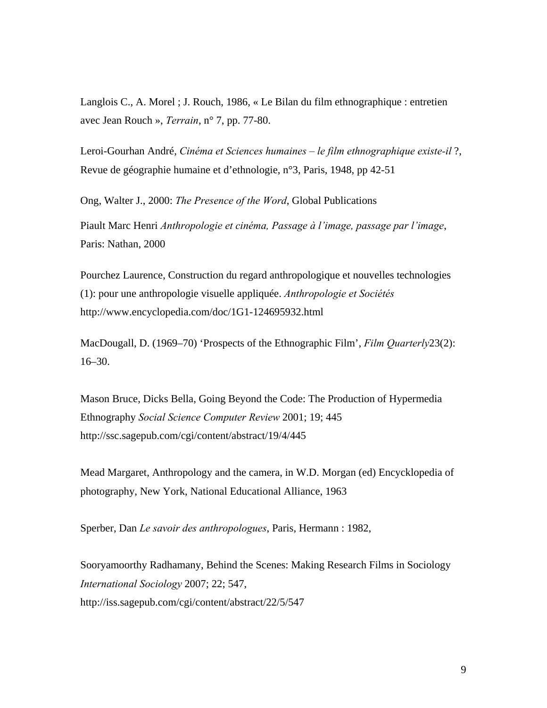Langlois C., A. Morel ; J. Rouch, 1986, « Le Bilan du film ethnographique : entretien avec Jean Rouch », *Terrain*, n° 7, pp. 77-80.

Leroi-Gourhan André, *Cinéma et Sciences humaines – le film ethnographique existe-il* ?, Revue de géographie humaine et d'ethnologie, n°3, Paris, 1948, pp 42-51

Ong, Walter J., 2000: *The Presence of the Word*, Global Publications Piault Marc Henri *Anthropologie et cinéma, Passage à l'image, passage par l'image*, Paris: Nathan, 2000

Pourchez Laurence, Construction du regard anthropologique et nouvelles technologies (1): pour une anthropologie visuelle appliquée. *Anthropologie et Sociétés* http://www.encyclopedia.com/doc/1G1-124695932.html

MacDougall, D. (1969–70) 'Prospects of the Ethnographic Film', *Film Quarterly*23(2): 16–30.

Mason Bruce, Dicks Bella, Going Beyond the Code: The Production of Hypermedia Ethnography *Social Science Computer Review* 2001; 19; 445 http://ssc.sagepub.com/cgi/content/abstract/19/4/445

Mead Margaret, Anthropology and the camera, in W.D. Morgan (ed) Encycklopedia of photography, New York, National Educational Alliance, 1963

Sperber, Dan *Le savoir des anthropologues*, Paris, Hermann : 1982,

Sooryamoorthy Radhamany, Behind the Scenes: Making Research Films in Sociology *International Sociology* 2007; 22; 547, http://iss.sagepub.com/cgi/content/abstract/22/5/547